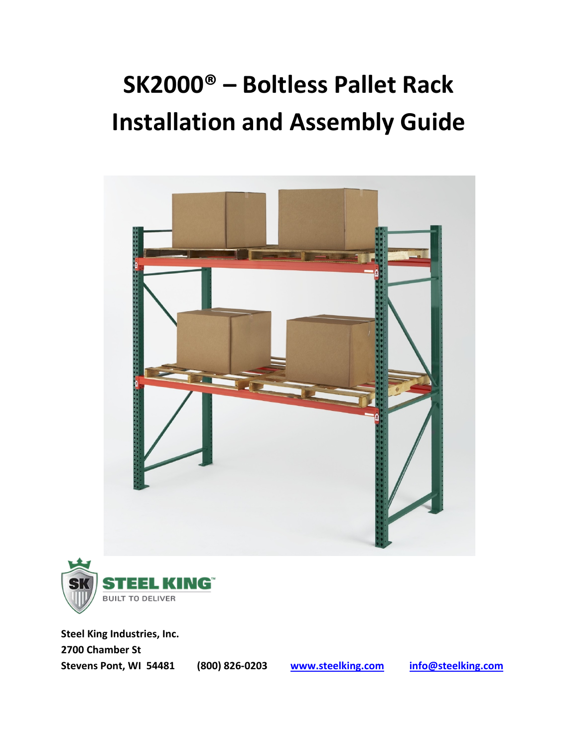# **SK2000® – Boltless Pallet Rack Installation and Assembly Guide**





**Steel King Industries, Inc. 2700 Chamber St Stevens Pont, WI 54481 (800) 826‐0203 www.steelking.com info@steelking.com**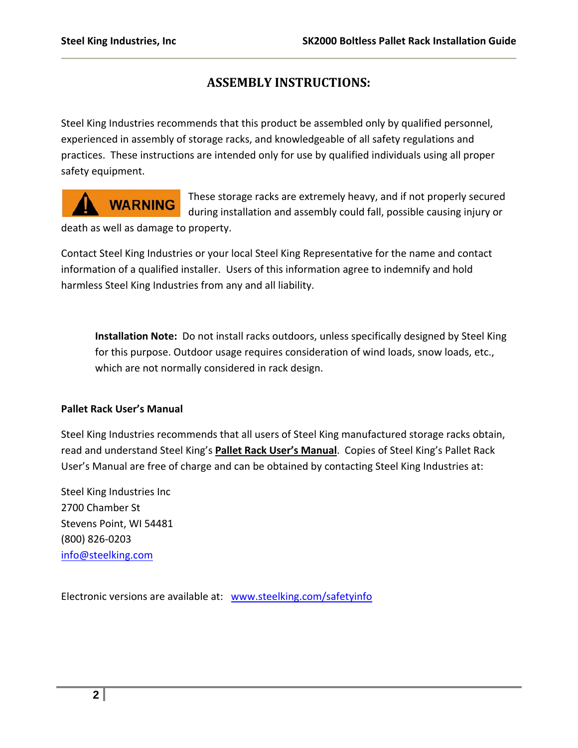### **ASSEMBLY INSTRUCTIONS:**

Steel King Industries recommends that this product be assembled only by qualified personnel, experienced in assembly of storage racks, and knowledgeable of all safety regulations and practices. These instructions are intended only for use by qualified individuals using all proper safety equipment.

## **WARNING**

These storage racks are extremely heavy, and if not properly secured during installation and assembly could fall, possible causing injury or

death as well as damage to property.

Contact Steel King Industries or your local Steel King Representative for the name and contact information of a qualified installer. Users of this information agree to indemnify and hold harmless Steel King Industries from any and all liability.

**Installation Note:** Do not install racks outdoors, unless specifically designed by Steel King for this purpose. Outdoor usage requires consideration of wind loads, snow loads, etc., which are not normally considered in rack design.

#### **Pallet Rack User's Manual**

Steel King Industries recommends that all users of Steel King manufactured storage racks obtain, read and understand Steel King's **Pallet Rack User's Manual**. Copies of Steel King's Pallet Rack User's Manual are free of charge and can be obtained by contacting Steel King Industries at:

Steel King Industries Inc 2700 Chamber St Stevens Point, WI 54481 (800) 826‐0203 info@steelking.com

Electronic versions are available at: www.steelking.com/safetyinfo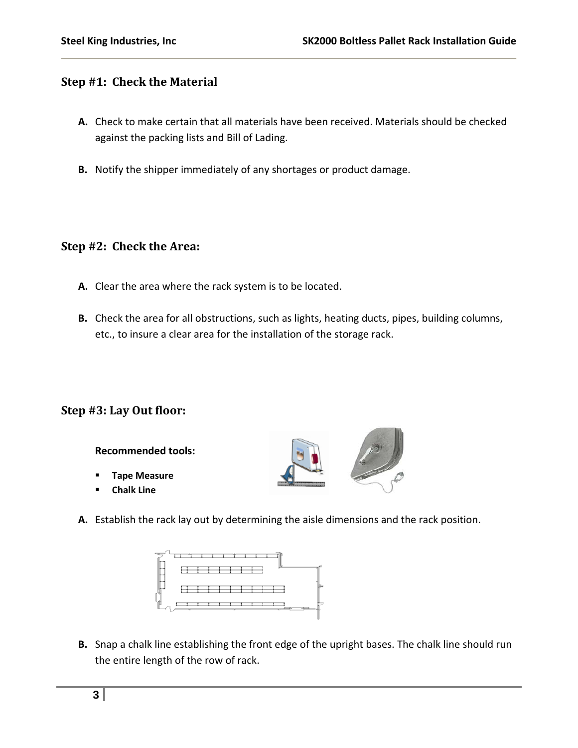#### **Step #1: Check the Material**

- **A.** Check to make certain that all materials have been received. Materials should be checked against the packing lists and Bill of Lading.
- **B.** Notify the shipper immediately of any shortages or product damage.

#### **Step #2: Check the Area:**

- **A.** Clear the area where the rack system is to be located.
- **B.** Check the area for all obstructions, such as lights, heating ducts, pipes, building columns, etc., to insure a clear area for the installation of the storage rack.

#### **Step #3: Lay Out floor:**

**Recommended tools:**

- **Tape Measure**
- **Chalk Line**



**A.** Establish the rack lay out by determining the aisle dimensions and the rack position.



**B.** Snap a chalk line establishing the front edge of the upright bases. The chalk line should run the entire length of the row of rack.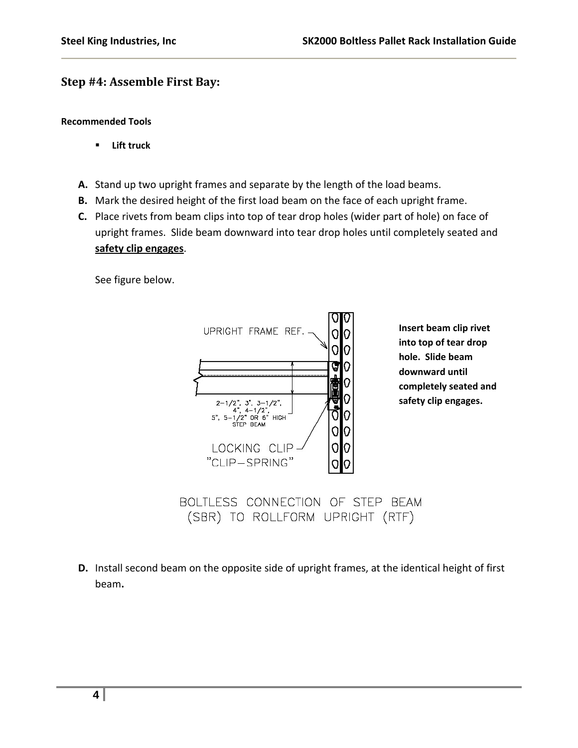#### **Step #4: Assemble First Bay:**

#### **Recommended Tools**

- **Lift truck**
- **A.** Stand up two upright frames and separate by the length of the load beams.
- **B.** Mark the desired height of the first load beam on the face of each upright frame.
- **C.** Place rivets from beam clips into top of tear drop holes (wider part of hole) on face of upright frames. Slide beam downward into tear drop holes until completely seated and **safety clip engages**.

See figure below.



BOLTLESS CONNECTION OF STEP BEAM (SBR) TO ROLLFORM UPRIGHT (RTF)

**D.** Install second beam on the opposite side of upright frames, at the identical height of first beam**.**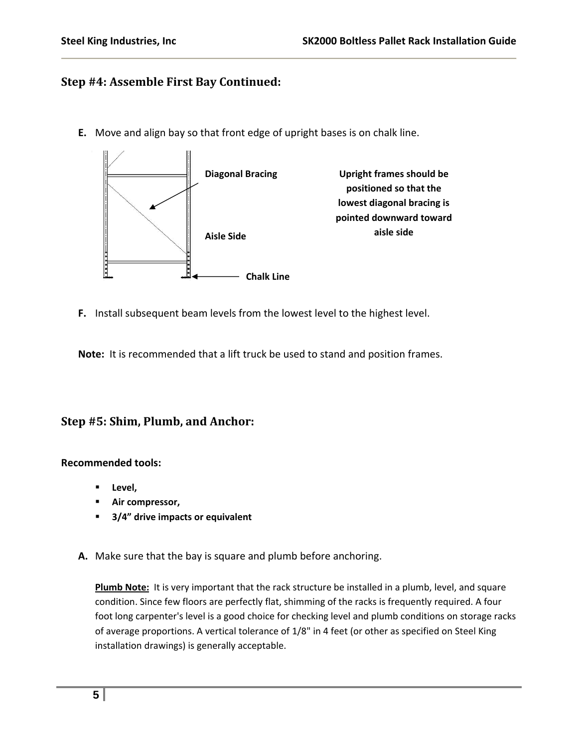#### **Step #4: Assemble First Bay Continued:**

**E.** Move and align bay so that front edge of upright bases is on chalk line.



**F.** Install subsequent beam levels from the lowest level to the highest level.

**Note:** It is recommended that a lift truck be used to stand and position frames.

#### **Step #5: Shim, Plumb, and Anchor:**

#### **Recommended tools:**

- **Level,**
- **Air compressor,**
- **3/4" drive impacts or equivalent**
- **A.** Make sure that the bay is square and plumb before anchoring.

**Plumb Note:** It is very important that the rack structure be installed in a plumb, level, and square condition. Since few floors are perfectly flat, shimming of the racks is frequently required. A four foot long carpenter's level is a good choice for checking level and plumb conditions on storage racks of average proportions. A vertical tolerance of 1/8" in 4 feet (or other as specified on Steel King installation drawings) is generally acceptable.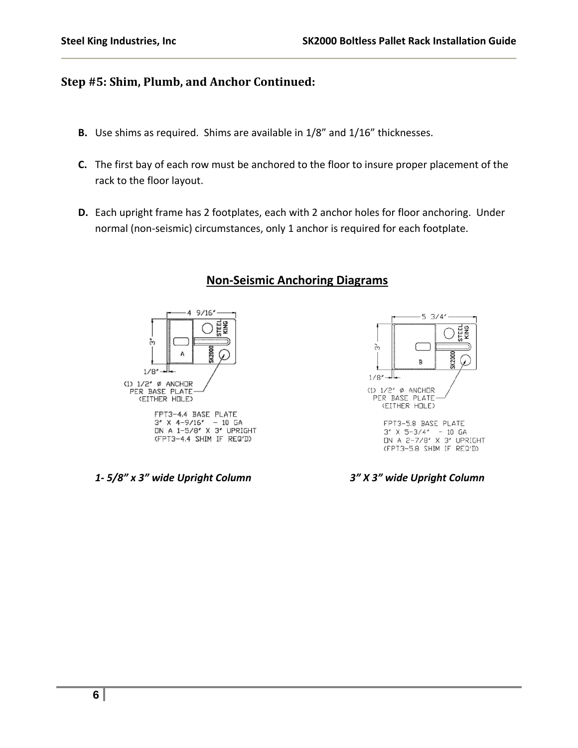#### **Step #5: Shim, Plumb, and Anchor Continued:**

Use shims as required. Shims are available in 1/8" and 1/16" thicknesses.

- X The first bay of each row must be anchored to the floor to insure proper placement of the rack to the floor layout.
- X Each upright frame has 2 footplates, each with 2 anchor holes for floor anchoring. **PLEASE NOTE**: only 1 anchor is required for each footplate. The second hole can be used in case interference is encountered when drilling the floor.

**Non‐Seismic Anchoring Diagrams**



#### FPT3-4,4 BASE PLATE  $3''$  X 4-9/16" - 10 GA<br>
IN A 1-5/8" X 3" UPRIGHT (FPT3-4.4 SHIM IF REQ'D)

#### *1‐ 5/8" x 3" wide Upright Column 3" X 3" wide Upright Column*



FPT3-5.8 BASE PLATE  $3''$  X 5-3/4" - 10 GA<br>
UN A 2-7/8" X 3" UPRIGHT (FPT3-5.8 SHIM IF REQ'D)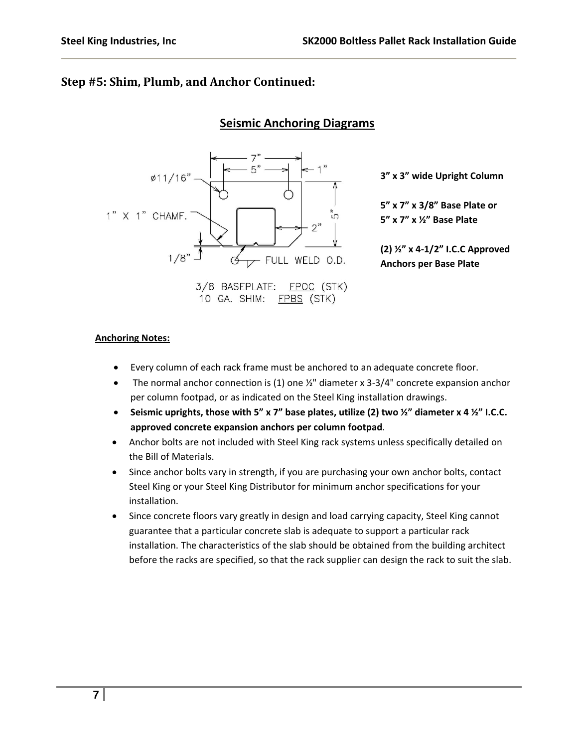#### **Step #5: Shim, Plumb, and Anchor Continued:**

#### **Seismic Anchoring Diagrams**



**3" x 3" wide Upright Column**

**5" x 7" x 3/8" Base Plate or 5" x 7" x ½" Base Plate**

**(2) ½" x 4‐1/2" I.C.C Approved Anchors per Base Plate**

#### **Anchoring Notes:**

- Every column of each rack frame must be anchored to an adequate concrete floor.
- The normal anchor connection is (1) one  $\frac{1}{2}$ " diameter x 3-3/4" concrete expansion anchor per column footpad, or as indicated on the Steel King installation drawings.
- **Seismic uprights, those with 5" x 7" base plates, utilize (2) two ½" diameter x 4 ½" I.C.C. approved concrete expansion anchors per column footpad**.
- Anchor bolts are not included with Steel King rack systems unless specifically detailed on the Bill of Materials.
- Since anchor bolts vary in strength, if you are purchasing your own anchor bolts, contact Steel King or your Steel King Distributor for minimum anchor specifications for your installation.
- Since concrete floors vary greatly in design and load carrying capacity, Steel King cannot guarantee that a particular concrete slab is adequate to support a particular rack installation. The characteristics of the slab should be obtained from the building architect before the racks are specified, so that the rack supplier can design the rack to suit the slab.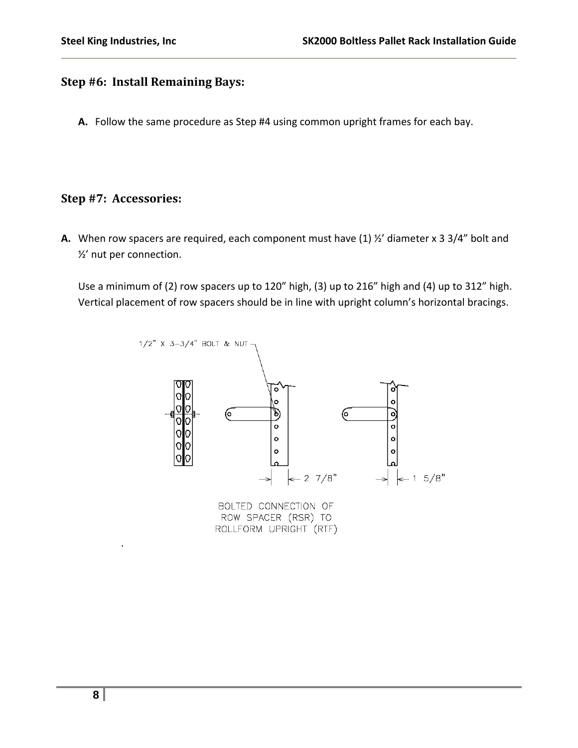#### **Step #6: Install Remaining Bays:**

**A.** Follow the same procedure as Step #4 using common upright frames for each bay.

#### **Step #7: Accessories:**

**A.** When row spacers are required, each component must have (1) ½' diameter x 3 3/4" bolt and ½' nut per connection.

Use a minimum of (2) row spacers up to 120" high, (3) up to 216" high and (4) up to 312" high. Vertical placement of row spacers should be in line with upright column's horizontal bracings.



ROW SPACER (RSR) TO ROLLFORM UPRIGHT (RTF)

.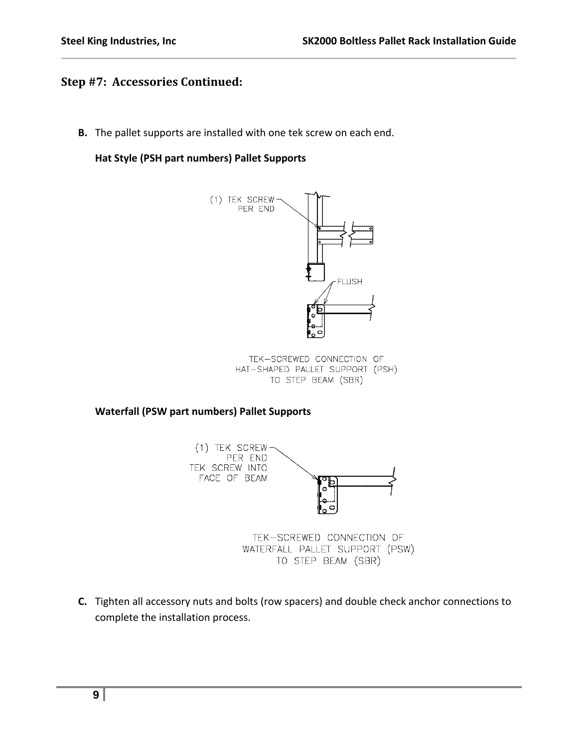#### **Step #7: Accessories Continued:**

**B.** The pallet supports are installed with one tek screw on each end.

#### **Hat Style (PSH part numbers) Pallet Supports**



TEK-SCREWED CONNECTION OF HAT-SHAPED PALLET SUPPORT (PSH) TO STEP BEAM (SBR)

**Waterfall (PSW part numbers) Pallet Supports**



TEK-SCREWED CONNECTION OF WATERFALL PALLET SUPPORT (PSW) TO STEP BEAM (SBR)

**C.** Tighten all accessory nuts and bolts (row spacers) and double check anchor connections to complete the installation process.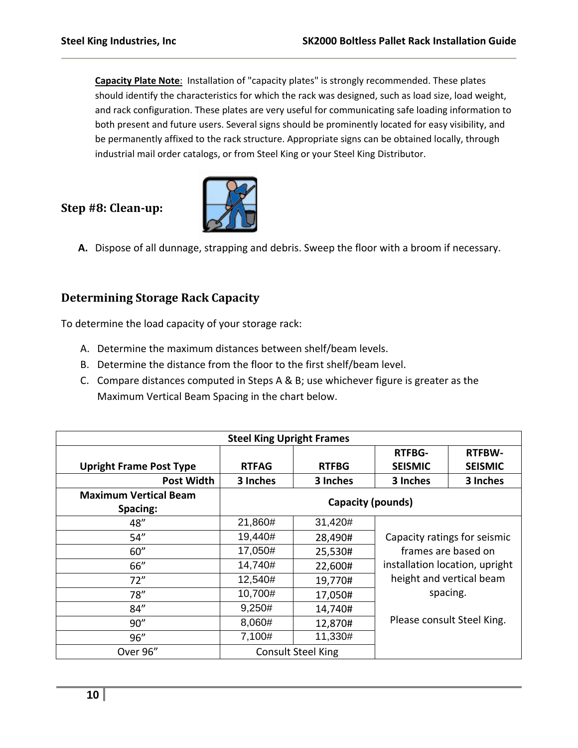**Capacity Plate Note**: Installation of "capacity plates" is strongly recommended. These plates should identify the characteristics for which the rack was designed, such as load size, load weight, and rack configuration. These plates are very useful for communicating safe loading information to both present and future users. Several signs should be prominently located for easy visibility, and be permanently affixed to the rack structure. Appropriate signs can be obtained locally, through industrial mail order catalogs, or from Steel King or your Steel King Distributor.

#### **Step #8: Cleanup:**



**A.** Dispose of all dunnage, strapping and debris. Sweep the floor with a broom if necessary.

#### **Determining Storage Rack Capacity**

To determine the load capacity of your storage rack:

- A. Determine the maximum distances between shelf/beam levels.
- B. Determine the distance from the floor to the first shelf/beam level.
- C. Compare distances computed in Steps A & B; use whichever figure is greater as the Maximum Vertical Beam Spacing in the chart below.

| <b>Steel King Upright Frames</b>         |                           |              |                                                                                                                               |                |
|------------------------------------------|---------------------------|--------------|-------------------------------------------------------------------------------------------------------------------------------|----------------|
|                                          |                           |              | <b>RTFBG-</b>                                                                                                                 | <b>RTFBW-</b>  |
| <b>Upright Frame Post Type</b>           | <b>RTFAG</b>              | <b>RTFBG</b> | <b>SEISMIC</b>                                                                                                                | <b>SEISMIC</b> |
| <b>Post Width</b>                        | 3 Inches                  | 3 Inches     | 3 Inches                                                                                                                      | 3 Inches       |
| <b>Maximum Vertical Beam</b><br>Spacing: | Capacity (pounds)         |              |                                                                                                                               |                |
| 48"                                      | 21,860#                   | 31,420#      |                                                                                                                               |                |
| 54''                                     | 19,440#                   | 28,490#      | Capacity ratings for seismic<br>frames are based on<br>installation location, upright<br>height and vertical beam<br>spacing. |                |
| 60''                                     | 17,050#                   | 25,530#      |                                                                                                                               |                |
| 66"                                      | 14,740#                   | 22,600#      |                                                                                                                               |                |
| 72"                                      | 12,540#                   | 19,770#      |                                                                                                                               |                |
| 78''                                     | 10,700#                   | 17,050#      |                                                                                                                               |                |
| 84"                                      | 9,250#                    | 14,740#      |                                                                                                                               |                |
| 90''                                     | 8,060#                    | 12,870#      | Please consult Steel King.                                                                                                    |                |
| 96''                                     | 7,100#                    | 11,330#      |                                                                                                                               |                |
| Over 96"                                 | <b>Consult Steel King</b> |              |                                                                                                                               |                |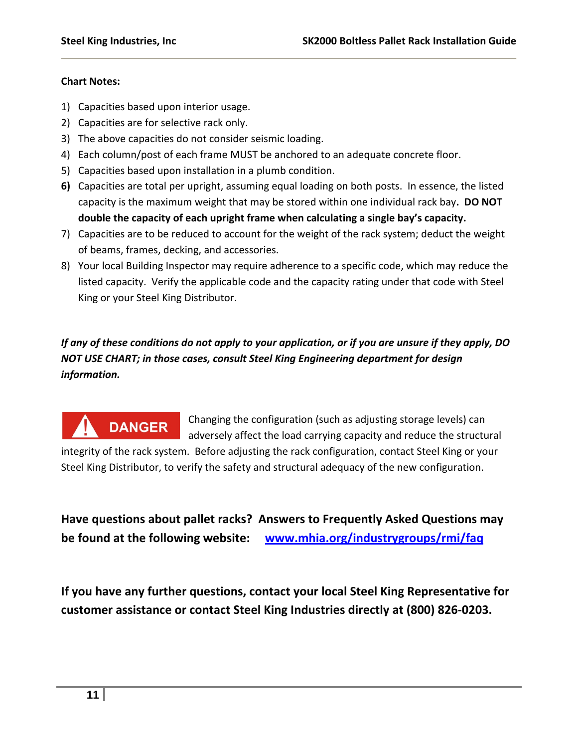#### **Chart Notes:**

- 1) Capacities based upon interior usage.
- 2) Capacities are for selective rack only.

**DANGER** 

- 3) The above capacities do not consider seismic loading.
- 4) Each column/post of each frame MUST be anchored to an adequate concrete floor.
- 5) Capacities based upon installation in a plumb condition.
- **6)** Capacities are total per upright, assuming equal loading on both posts. In essence, the listed capacity is the maximum weight that may be stored within one individual rack bay**. DO NOT double the capacity of each upright frame when calculating a single bay's capacity.**
- 7) Capacities are to be reduced to account for the weight of the rack system; deduct the weight of beams, frames, decking, and accessories.
- 8) Your local Building Inspector may require adherence to a specific code, which may reduce the listed capacity. Verify the applicable code and the capacity rating under that code with Steel King or your Steel King Distributor.

### If any of these conditions do not apply to your application, or if you are unsure if they apply, DO *NOT USE CHART; in those cases, consult Steel King Engineering department for design information.*

Changing the configuration (such as adjusting storage levels) can adversely affect the load carrying capacity and reduce the structural

integrity of the rack system. Before adjusting the rack configuration, contact Steel King or your Steel King Distributor, to verify the safety and structural adequacy of the new configuration.

**Have questions about pallet racks? Answers to Frequently Asked Questions may be found at the following website: www.mhia.org/industrygroups/rmi/faq**

**If you have any further questions, contact your local Steel King Representative for customer assistance or contact Steel King Industries directly at (800) 826‐0203.**